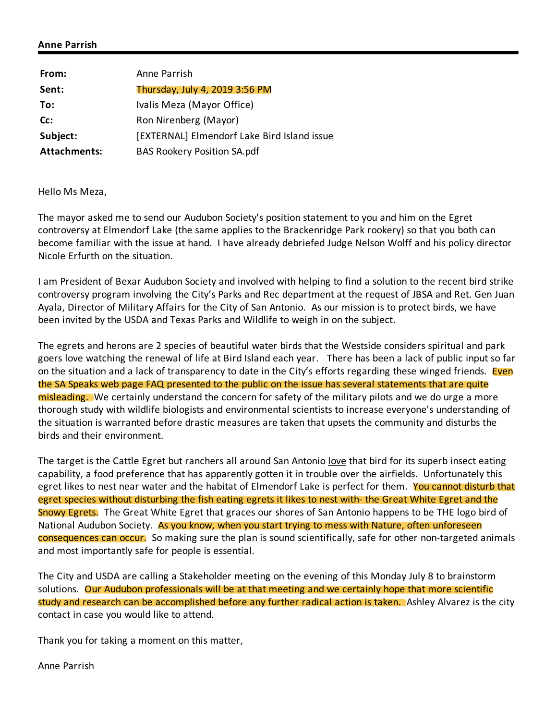## **Anne Parrish**

| From:               | Anne Parrish                                |
|---------------------|---------------------------------------------|
| Sent:               | Thursday, July 4, 2019 3:56 PM              |
| To:                 | Ivalis Meza (Mayor Office)                  |
| Cc:                 | Ron Nirenberg (Mayor)                       |
| Subject:            | [EXTERNAL] Elmendorf Lake Bird Island issue |
| <b>Attachments:</b> | <b>BAS Rookery Position SA.pdf</b>          |

Hello Ms Meza,

The mayor asked me to send our Audubon Society's position statement to you and him on the Egret controversy at Elmendorf Lake (the same applies to the Brackenridge Park rookery) so that you both can become familiar with the issue at hand. I have already debriefed Judge Nelson Wolff and his policy director Nicole Erfurth on the situation.

I am President of Bexar Audubon Society and involved with helping to find a solution to the recent bird strike controversy program involving the City's Parks and Rec department at the request of JBSA and Ret. Gen Juan Ayala, Director of Military Affairs for the City of San Antonio. As our mission is to protect birds, we have been invited by the USDA and Texas Parks and Wildlife to weigh in on the subject.

The egrets and herons are 2 species of beautiful water birds that the Westside considers spiritual and park goers love watching the renewal of life at Bird Island each year. There has been a lack of public input so far on the situation and a lack of transparency to date in the City's efforts regarding these winged friends. Even the SA Speaks web page FAQ presented to the public on the issue has several statements that are quite misleading. We certainly understand the concern for safety of the military pilots and we do urge a more thorough study with wildlife biologists and environmental scientists to increase everyone's understanding of the situation is warranted before drastic measures are taken that upsets the community and disturbs the birds and their environment.

The target is the Cattle Egret but ranchers all around San Antonio love that bird for its superb insect eating capability, a food preference that has apparently gotten it in trouble over the airfields. Unfortunately this egret likes to nest near water and the habitat of Elmendorf Lake is perfect for them. You cannot disturb that egret species without disturbing the fish eating egrets it likes to nest with- the Great White Egret and the Snowy Egrets. The Great White Egret that graces our shores of San Antonio happens to be THE logo bird of National Audubon Society. As you know, when you start trying to mess with Nature, often unforeseen consequences can occur. So making sure the plan is sound scientifically, safe for other non-targeted animals and most importantly safe for people is essential.

The City and USDA are calling a Stakeholder meeting on the evening of this Monday July 8 to brainstorm solutions. Our Audubon professionals will be at that meeting and we certainly hope that more scientific study and research can be accomplished before any further radical action is taken. Ashley Alvarez is the city contact in case you would like to attend.

Thank you for taking a moment on this matter,

Anne Parrish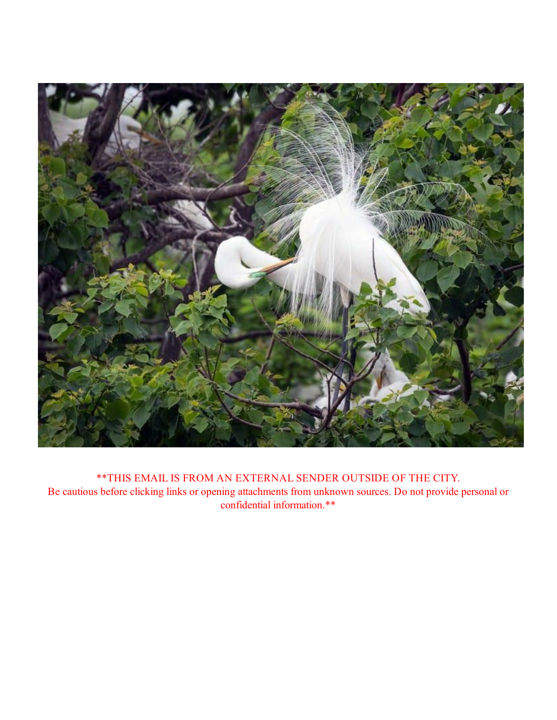

\*\*THIS EMAIL IS FROM AN EXTERNAL SENDER OUTSIDE OF THE CITY. Be cautious before clicking links or opening attachments from unknown sources. Do not provide personal or confidential information.\*\*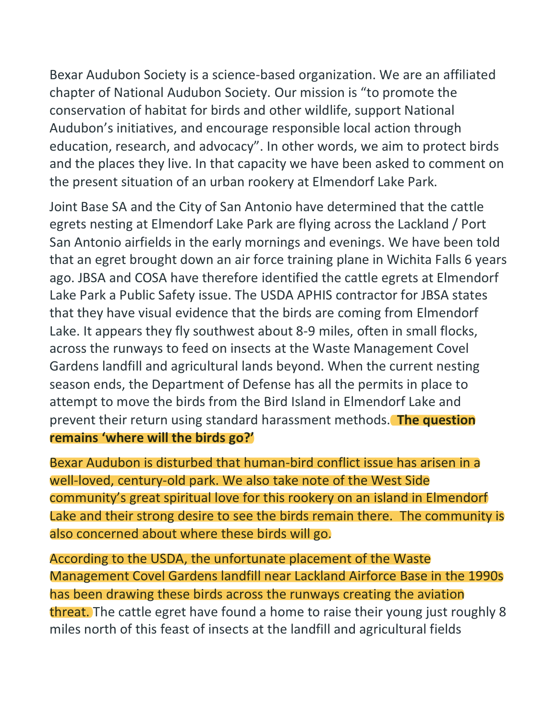Bexar Audubon Society is a science-based organization. We are an affiliated chapter of National Audubon Society. Our mission is "to promote the conservation of habitat for birds and other wildlife, support National Audubon's initiatives, and encourage responsible local action through education, research, and advocacy". In other words, we aim to protect birds and the places they live. In that capacity we have been asked to comment on the present situation of an urban rookery at Elmendorf Lake Park.

Joint Base SA and the City of San Antonio have determined that the cattle egrets nesting at Elmendorf Lake Park are flying across the Lackland / Port San Antonio airfields in the early mornings and evenings. We have been told that an egret brought down an air force training plane in Wichita Falls 6 years ago. JBSA and COSA have therefore identified the cattle egrets at Elmendorf Lake Park a Public Safety issue. The USDA APHIS contractor for JBSA states that they have visual evidence that the birds are coming from Elmendorf Lake. It appears they fly southwest about 8-9 miles, often in small flocks, across the runways to feed on insects at the Waste Management Covel Gardens landfill and agricultural lands beyond. When the current nesting season ends, the Department of Defense has all the permits in place to attempt to move the birds from the Bird Island in Elmendorf Lake and prevent their return using standard harassment methods. **The question remains 'where will the birds go?'**

Bexar Audubon is disturbed that human-bird conflict issue has arisen in a well-loved, century-old park. We also take note of the West Side community's great spiritual love for this rookery on an island in Elmendorf Lake and their strong desire to see the birds remain there. The community is also concerned about where these birds will go.

According to the USDA, the unfortunate placement of the Waste Management Covel Gardens landfill near Lackland Airforce Base in the 1990s has been drawing these birds across the runways creating the aviation threat. The cattle egret have found a home to raise their young just roughly 8 miles north of this feast of insects at the landfill and agricultural fields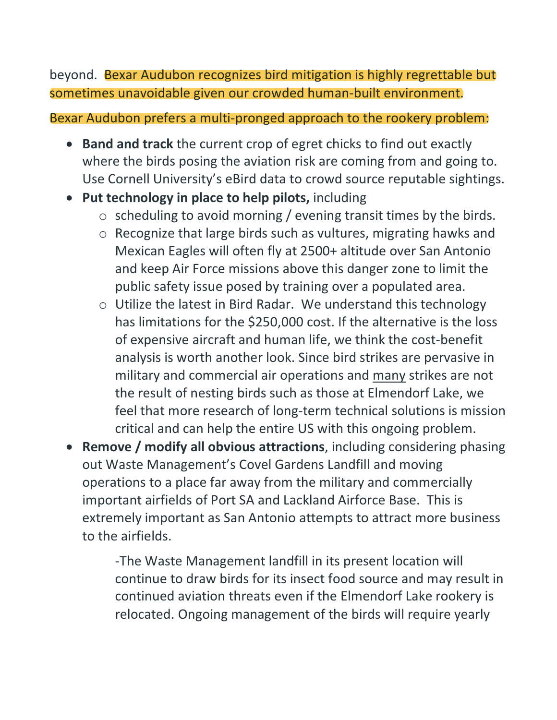beyond. Bexar Audubon recognizes bird mitigation is highly regrettable but sometimes unavoidable given our crowded human-built environment.

## Bexar Audubon prefers a multi-pronged approach to the rookery problem:

- **Band and track** the current crop of egret chicks to find out exactly where the birds posing the aviation risk are coming from and going to. Use Cornell University's eBird data to crowd source reputable sightings.
- **Put technology in place to help pilots,** including
	- $\circ$  scheduling to avoid morning / evening transit times by the birds.
	- o Recognize that large birds such as vultures, migrating hawks and Mexican Eagles will often fly at 2500+ altitude over San Antonio and keep Air Force missions above this danger zone to limit the public safety issue posed by training over a populated area.
	- o Utilize the latest in Bird Radar. We understand this technology has limitations for the \$250,000 cost. If the alternative is the loss of expensive aircraft and human life, we think the cost-benefit analysis is worth another look. Since bird strikes are pervasive in military and commercial air operations and many strikes are not the result of nesting birds such as those at Elmendorf Lake, we feel that more research of long-term technical solutions is mission critical and can help the entire US with this ongoing problem.
- **Remove / modify all obvious attractions**, including considering phasing out Waste Management's Covel Gardens Landfill and moving operations to a place far away from the military and commercially important airfields of Port SA and Lackland Airforce Base. This is extremely important as San Antonio attempts to attract more business to the airfields.

-The Waste Management landfill in its present location will continue to draw birds for its insect food source and may result in continued aviation threats even if the Elmendorf Lake rookery is relocated. Ongoing management of the birds will require yearly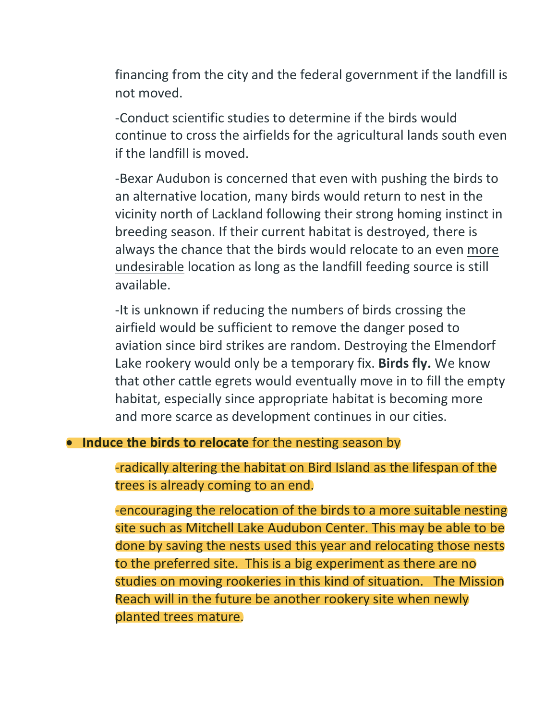financing from the city and the federal government if the landfill is not moved.

-Conduct scientific studies to determine if the birds would continue to cross the airfields for the agricultural lands south even if the landfill is moved.

-Bexar Audubon is concerned that even with pushing the birds to an alternative location, many birds would return to nest in the vicinity north of Lackland following their strong homing instinct in breeding season. If their current habitat is destroyed, there is always the chance that the birds would relocate to an even more undesirable location as long as the landfill feeding source is still available.

-It is unknown if reducing the numbers of birds crossing the airfield would be sufficient to remove the danger posed to aviation since bird strikes are random. Destroying the Elmendorf Lake rookery would only be a temporary fix. **Birds fly.** We know that other cattle egrets would eventually move in to fill the empty habitat, especially since appropriate habitat is becoming more and more scarce as development continues in our cities.

## • **Induce the birds to relocate** for the nesting season by

-radically altering the habitat on Bird Island as the lifespan of the trees is already coming to an end.

-encouraging the relocation of the birds to a more suitable nesting site such as Mitchell Lake Audubon Center. This may be able to be done by saving the nests used this year and relocating those nests to the preferred site. This is a big experiment as there are no studies on moving rookeries in this kind of situation. The Mission Reach will in the future be another rookery site when newly planted trees mature.